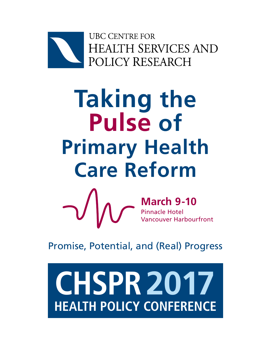

# **Taking the Pulse of Primary Health Care Reform**



**March 9-10** Pinnacle Hotel Vancouver Harbourfront

Promise, Potential, and (Real) Progress

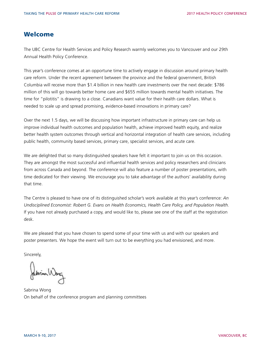#### Welcome

The UBC Centre for Health Services and Policy Research warmly welcomes you to Vancouver and our 29th Annual Health Policy Conference.

This year's conference comes at an opportune time to actively engage in discussion around primary health care reform. Under the recent agreement between the province and the federal government, British Columbia will receive more than \$1.4 billion in new health care investments over the next decade: \$786 million of this will go towards better home care and \$655 million towards mental health initiatives. The time for "pilotitis" is drawing to a close. Canadians want value for their health care dollars. What is needed to scale up and spread promising, evidence-based innovations in primary care?

Over the next 1.5 days, we will be discussing how important infrastructure in primary care can help us improve individual health outcomes and population health, achieve improved health equity, and realize better health system outcomes through vertical and horizontal integration of health care services, including public health, community based services, primary care, specialist services, and acute care.

We are delighted that so many distinguished speakers have felt it important to join us on this occasion. They are amongst the most successful and influential health services and policy researchers and clinicians from across Canada and beyond. The conference will also feature a number of poster presentations, with time dedicated for their viewing. We encourage you to take advantage of the authors' availability during that time.

The Centre is pleased to have one of its distinguished scholar's work available at this year's conference: *An Undisciplined Economist: Robert G. Evans on Health Economics, Health Care Policy, and Population Health.* If you have not already purchased a copy, and would like to, please see one of the staff at the registration desk.

We are pleased that you have chosen to spend some of your time with us and with our speakers and poster presenters. We hope the event will turn out to be everything you had envisioned, and more.

Sincerely,

Publica Warg

Sabrina Wong On behalf of the conference program and planning committees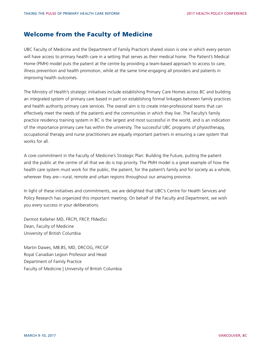#### Welcome from the Faculty of Medicine

UBC Faculty of Medicine and the Department of Family Practice's shared vision is one in which every person will have access to primary health care in a setting that serves as their medical home. The Patient's Medical Home (PMH) model puts the patient at the centre by providing a team-based approach to access to care, illness prevention and health promotion, while at the same time engaging all providers and patients in improving health outcomes.

The Ministry of Health's strategic initiatives include establishing Primary Care Homes across BC and building an integrated system of primary care based in part on establishing formal linkages between family practices and health authority primary care services. The overall aim is to create inter-professional teams that can effectively meet the needs of the patients and the communities in which they live. The Faculty's family practice residency training system in BC is the largest and most successful in the world, and is an indication of the importance primary care has within the university. The successful UBC programs of physiotherapy, occupational therapy and nurse practitioners are equally important partners in ensuring a care system that works for all.

A core commitment in the Faculty of Medicine's Strategic Plan: Building the Future, putting the patient and the public at the centre of all that we do is top priority. The PMH model is a great example of how the health care system must work for the public, the patient, for the patient's family and for society as a whole, wherever they are—rural, remote and urban regions throughout our amazing province.

In light of these initiatives and commitments, we are delighted that UBC's Centre for Health Services and Policy Research has organized this important meeting. On behalf of the Faculty and Department, we wish you every success in your deliberations.

Dermot Kelleher MD, FRCPI, FRCP, FMedSci Dean, Faculty of Medicine University of British Columbia

Martin Dawes, MB.BS, MD, DRCOG, FRCGP Royal Canadian Legion Professor and Head Department of Family Practice Faculty of Medicine | University of British Columbia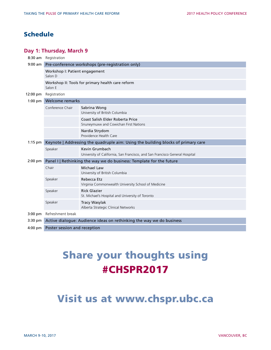#### Schedule

#### **Day 1: Thursday, March 9**

| 8:30 am           | Registration                                                                      |                                                                                               |  |
|-------------------|-----------------------------------------------------------------------------------|-----------------------------------------------------------------------------------------------|--|
| $9:00$ am         | Pre-conference workshops (pre-registration only)                                  |                                                                                               |  |
|                   | Workshop I: Patient engagement<br>Salon D                                         |                                                                                               |  |
|                   | Workshop II: Tools for primary health care reform<br>Salon E                      |                                                                                               |  |
| 12:00 pm          | Registration                                                                      |                                                                                               |  |
| $1:00$ pm         | Welcome remarks                                                                   |                                                                                               |  |
|                   | Conference Chair                                                                  | Sabrina Wong<br>University of British Columbia                                                |  |
|                   |                                                                                   | Coast Salish Elder Roberta Price<br>Snuneymuxw and Cowichan First Nations                     |  |
|                   |                                                                                   | Nardia Strydom<br>Providence Health Care                                                      |  |
| $1:15$ pm         | Keynote   Addressing the quadruple aim: Using the building blocks of primary care |                                                                                               |  |
|                   | Speaker                                                                           | Kevin Grumbach<br>University of California, San Francisco, and San Francisco General Hospital |  |
| 2:00 pm           | Panel I   Rethinking the way we do business: Template for the future              |                                                                                               |  |
|                   | Chair                                                                             | <b>Michael Law</b><br>University of British Columbia                                          |  |
|                   | Speaker                                                                           | Rebecca Etz<br>Virginia Commonwealth University School of Medicine                            |  |
|                   | Speaker                                                                           | <b>Rick Glazier</b><br>St. Michael's Hospital and University of Toronto                       |  |
|                   | Speaker                                                                           | <b>Tracy Wasylak</b><br>Alberta Strategic Clinical Networks                                   |  |
| $3:00 \text{ pm}$ | Refreshment break                                                                 |                                                                                               |  |
| $3:30 \text{ pm}$ | Active dialogue: Audience ideas on rethinking the way we do business              |                                                                                               |  |
| $4:00 \text{ pm}$ | Poster session and reception                                                      |                                                                                               |  |

# Share your thoughts using #CHSPR2017

# Visit us at www.chspr.ubc.ca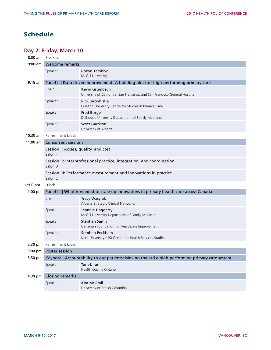#### Schedule

#### **Day 2: Friday, March 10**

| $8:00$ am  | Breakfast                                                                                     |                                                                                               |  |
|------------|-----------------------------------------------------------------------------------------------|-----------------------------------------------------------------------------------------------|--|
| $9:00$ am  | Welcome remarks                                                                               |                                                                                               |  |
|            | Speaker                                                                                       | Robyn Tamblyn<br>McGill University                                                            |  |
| $9:15$ am  | Panel II   Data driven improvement: A building block of high-performing primary care          |                                                                                               |  |
|            | Chair                                                                                         | Kevin Grumbach<br>University of California, San Francisco, and San Francisco General Hospital |  |
|            | Speaker                                                                                       | <b>Rick Birtwhistle</b><br>Queen's University Centre for Studies in Primary Care              |  |
|            | Speaker                                                                                       | Fred Burge<br>Dalhousie University Department of Family Medicine                              |  |
|            | Speaker                                                                                       | <b>Scott Garrison</b><br>University of Alberta                                                |  |
| $10:30$ am | Refreshment break                                                                             |                                                                                               |  |
| $11:00$ am | <b>Concurrent sessions</b>                                                                    |                                                                                               |  |
|            | Session I: Access, quality, and cost<br>Salon F                                               |                                                                                               |  |
|            | Session II: Interprofessional practice, integration, and coordination<br>Salon D              |                                                                                               |  |
|            | Session III: Performance measurement and innovations in practice<br>Salon C                   |                                                                                               |  |
| 12:00 pm   | Lunch                                                                                         |                                                                                               |  |
| $1:00$ pm  | Panel III   What is needed to scale up innovations in primary health care across Canada       |                                                                                               |  |
|            | Chair                                                                                         | <b>Tracy Wasylak</b><br>Alberta Strategic Clinical Networks                                   |  |
|            | Speaker                                                                                       | Jeannie Haggerty<br>McGill University Department of Family Medicine                           |  |
|            | Speaker                                                                                       | <b>Stephen Samis</b><br>Canadian Foundation for Healthcare Improvement                        |  |
|            | Speaker                                                                                       | Stephen Peckham<br>Kent University (UK) Centre for Health Services Studies                    |  |
| $2:30$ pm  | Refreshment break                                                                             |                                                                                               |  |
| $3:00$ pm  | Poster session                                                                                |                                                                                               |  |
| 3:30 pm    | Keynote   Accountability to our patients: Moving toward a high-performing primary care system |                                                                                               |  |
|            | Speaker                                                                                       | Tara Kiran<br>Health Quality Ontario                                                          |  |
| 4:30 pm    | <b>Closing remarks</b>                                                                        |                                                                                               |  |
|            | Speaker                                                                                       | Kim McGrail<br>University of British Columbia                                                 |  |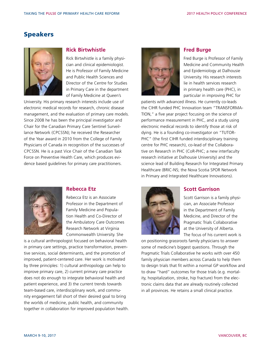

#### **Rick Birtwhistle**

Rick Birtwhistle is a family physician and clinical epidemiologist. He is Professor of Family Medicine and Public Health Sciences and Director of the Centre for Studies in Primary Care in the department of Family Medicine at Queen's

University. His primary research interests include use of electronic medical records for research, chronic disease management, and the evaluation of primary care models. Since 2008 he has been the principal investigator and Chair for the Canadian Primary Care Sentinel Surveillance Network (CPCSSN); he received the Researcher of the Year award in 2010 from the College of Family Physicians of Canada in recognition of the successes of CPCSSN. He is a past Vice Chair of the Canadian Task Force on Preventive Health Care, which produces evidence based guidelines for primary care practitioners.



#### **Rebecca Etz**

Rebecca Etz is an Associate Professor in the Department of Family Medicine and Population Health and Co-Director of the Ambulatory Care Outcomes Research Network at Virginia Commonwealth University. She

is a cultural anthropologist focused on behavioral health in primary care settings, practice transformation, preventive services, social determinants, and the promotion of improved, patient-centered care. Her work is motivated by three principles: 1) cultural anthropology can help to improve primary care, 2) current primary care practice does not do enough to integrate behavioral health and patient experience, and 3) the current trends towards team-based care, interdisciplinary work, and community engagement fall short of their desired goal to bring the worlds of medicine, public health, and community together in collaboration for improved population health.



#### **Fred Burge**

Fred Burge is Professor of Family Medicine and Community Health and Epidemiology at Dalhousie University. His research interests lie in health services research in primary health care (PHC), in particular in improving PHC for

patients with advanced illness. He currently co-leads the CIHR funded PHC Innovation team "TRANSFORMA-TION," a five year project focusing on the science of performance measurement in PHC, and a study using electronic medical records to identify those at risk of dying. He is a founding co-investigator on "TUTOR-PHC" (the first CIHR funded interdisciplinary training centre for PHC research), co-lead of the Collaborative on Research in PHC (CoR-PHC; a new interfaculty research initiative at Dalhousie University) and the science lead of Building Research for Integrated Primary Healthcare (BRIC-NS; the Nova Scotia SPOR Network in Primary and Integrated Healthcare Innovations).



#### **Scott Garrison**

Scott Garrison is a family physician, an Associate Professor in the Department of Family Medicine, and Director of the Pragmatic Trials Collaborative at the University of Alberta. The focus of his current work is

on positioning grassroots family physicians to answer some of medicine's biggest questions. Through the Pragmatic Trials Collaborative he works with over 450 family physician members across Canada to help them to design trials that fit within a normal GP workflow and to draw "hard" outcomes for those trials (e.g. mortality, hospitalization, stroke, hip fracture) from the electronic claims data that are already routinely collected in all provinces. He retains a small clinical practice.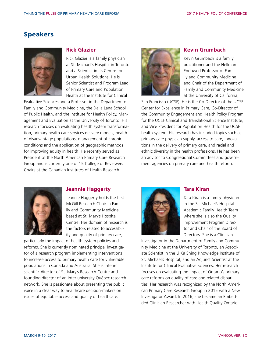

#### **Rick Glazier**

Rick Glazier is a family physician at St. Michael's Hospital in Toronto and a Scientist in its Centre for Urban Health Solutions. He is Senior Scientist and Program Lead of Primary Care and Population Health at the Institute for Clinical

Evaluative Sciences and a Professor in the Department of Family and Community Medicine, the Dalla Lana School of Public Health, and the Institute for Health Policy, Management and Evaluation at the University of Toronto. His research focuses on evaluating health system transformation, primary health care services delivery models, health of disadvantage populations, management of chronic conditions and the application of geographic methods for improving equity in health. He recently served as President of the North American Primary Care Research Group and is currently one of 15 College of Reviewers Chairs at the Canadian Institutes of Health Research.



#### **Kevin Grumbach**

Kevin Grumbach is a family practitioner and the Hellman Endowed Professor of Family and Community Medicine and Chair of the Department of Family and Community Medicine at the University of California,

San Francisco (UCSF). He is the Co-Director of the UCSF Center for Excellence in Primary Care, Co-Director of the Community Engagement and Health Policy Program for the UCSF Clinical and Translational Science Institute, and Vice President for Population Health for the UCSF health system. His research has included topics such as primary care physician supply, access to care, innovations in the delivery of primary care, and racial and ethnic diversity in the health professions. He has been an advisor to Congressional Committees and government agencies on primary care and health reform.



#### **Jeannie Haggerty**

Jeannie Haggerty holds the first McGill Research Chair in Family and Community Medicine, based at St. Mary's Hospital Centre. Her domain of research is the factors related to accessibility and quality of primary care,

particularly the impact of health system policies and reforms. She is currently nominated principal investigator of a research program implementing interventions to increase access to primary health care for vulnerable populations in Canada and Australia. She is interim scientific director of St. Mary's Research Centre and founding director of an inter-university Québec research network. She is passionate about presenting the public voice in a clear way to healthcare decision-makers on issues of equitable access and quality of healthcare.



#### **Tara Kiran**

Tara Kiran is a family physician in the St. Michael's Hospital Academic Family Health Team where she is also the Quality Improvement Program Director and Chair of the Board of Directors. She is a Clinician

Investigator in the Department of Family and Community Medicine at the University of Toronto, an Associate Scientist in the Li Ka Shing Knowledge Institute of St. Michael's Hospital, and an Adjunct Scientist at the Institute for Clinical Evaluative Sciences. Her research focuses on evaluating the impact of Ontario's primary care reforms on quality of care and related disparities. Her research was recognized by the North American Primary Care Research Group in 2015 with a New Investigator Award. In 2016, she became an Embedded Clinician Researcher with Health Quality Ontario.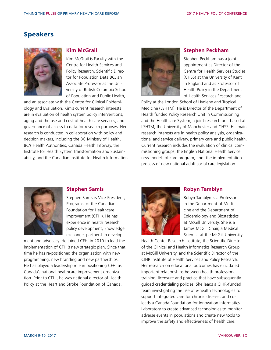

#### **Kim McGrail**

Kim McGrail is Faculty with the Centre for Health Services and Policy Research, Scientific Director for Population Data BC, an Associate Professor at the University of British Columbia School of Population and Public Health,

and an associate with the Centre for Clinical Epidemiology and Evaluation. Kim's current research interests are in evaluation of health system policy interventions, aging and the use and cost of health care services, and governance of access to data for research purposes. Her research is conducted in collaboration with policy and decision makers, including the BC Ministry of Health, BC's Health Authorities, Canada Health Infoway, the Institute for Health System Transformation and Sustainability, and the Canadian Institute for Health Information.



#### **Stephen Peckham**

Stephen Peckham has a joint appointment as Director of the Centre for Health Services Studies (CHSS) at the University of Kent in England and as Professor of Health Policy in the Department of Health Services Research and

Policy at the London School of Hygiene and Tropical Medicine (LSHTM). He is Director of the Department of Health funded Policy Research Unit in Commissioning and the Healthcare System, a joint research unit based at LSHTM, the University of Manchester and CHSS. His main research interests are in health policy analysis, organizational and service delivery, primary care and public health. Current research includes the evaluation of clinical commissioning groups, the English National Health Service new models of care program, and the implementation process of new national adult social care legislation.



#### **Stephen Samis**

Stephen Samis is Vice-President, Programs, of the Canadian Foundation for Healthcare Improvement (CFHI). He has experience in health research, policy development, knowledge exchange, partnership develop-

ment and advocacy. He joined CFHI in 2010 to lead the implementation of CFHI's new strategic plan. Since that time he has re-positioned the organization with new programming, new branding and new partnerships. He has played a leadership role in positioning CFHI as Canada's national healthcare improvement organization. Prior to CFHI, he was national director of Health Policy at the Heart and Stroke Foundation of Canada.



#### **Robyn Tamblyn**

Robyn Tamblyn is a Professor in the Department of Medicine and the Department of Epidemiology and Biostatistics at McGill University. She is a James McGill Chair, a Medical Scientist at the McGill University

Health Center Research Institute, the Scientific Director of the Clinical and Health Informatics Research Group at McGill University, and the Scientific Director of the CIHR Institute of Health Services and Policy Research. Her research on educational outcomes has elucidated important relationships between health professional training, licensure and practice that have subsequently guided credentialing policies. She leads a CIHR-funded team investigating the use of e-health technologies to support integrated care for chronic disease, and coleads a Canada Foundation for Innovation Informatics Laboratory to create advanced technologies to monitor adverse events in populations and create new tools to improve the safety and effectiveness of health care.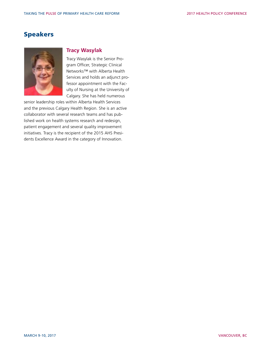

#### **Tracy Wasylak**

Tracy Wasylak is the Senior Program Officer, Strategic Clinical Networks™ with Alberta Health Services and holds an adjunct professor appointment with the Faculty of Nursing at the University of Calgary. She has held numerous

senior leadership roles within Alberta Health Services and the previous Calgary Health Region. She is an active collaborator with several research teams and has published work on health systems research and redesign, patient engagement and several quality improvement initiatives. Tracy is the recipient of the 2015 AHS Presidents Excellence Award in the category of Innovation.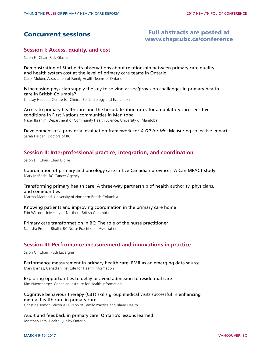#### Concurrent sessions

#### Full abstracts are posted at [www.chspr.ubc.ca/conference](http://www.chspr.ubc.ca/conference/program)

#### **Session I: Access, quality, and cost**

Salon F | Chair: Rick Glazier

Demonstration of Starfield's observations about relationship between primary care quality and health system cost at the level of primary care teams in Ontario Carol Mulder, Association of Family Health Teams of Ontario

Is increasing physician supply the key to solving access/provision challenges in primary health care in British Columbia? Lindsay Hedden, Centre for Clinical Epidemiology and Evaluation

Access to primary health care and the hospitalization rates for ambulatory care sensitive conditions in First Nations communities in Manitoba Naser Ibrahim, Department of Community Health Science, University of Manitoba

Development of a provincial evaluation framework for *A GP for Me:* Measuring collective impact Sarah Fielden, Doctors of BC

#### **Session II: Interprofessional practice, integration, and coordination**

Salon D | Chair: Chad Dickie

Coordination of primary and oncology care in five Canadian provinces: A CanIMPACT study Mary McBride, BC Cancer Agency

Transforming primary health care: A three-way partnership of health authority, physicians, and communities

Martha MacLeod, University of Northern British Columbia

Knowing patients and improving coordination in the primary care home Erin Wilson, University of Northern British Columbia

Primary care transformation in BC: The role of the nurse practitioner Natasha Prodan-Bhalla, BC Nurse Practitioner Association

#### **Session III: Performance measurement and innovations in practice**

Salon C | Chair: Ruth Lavergne

Performance measurement in primary health care: EMR as an emerging data source Mary Byrnes, Canadian Institute for Health Information

Exploring opportunities to delay or avoid admission to residential care Kim Nuernberger, Canadian Institute for Health Information

#### Cognitive behaviour therapy (CBT) skills group medical visits successful in enhancing mental health care in primary care

Christine Tomori, Victoria Division of Family Practice and Island Health

Audit and feedback in primary care: Ontario's lessons learned Jonathan Lam, Health Quality Ontario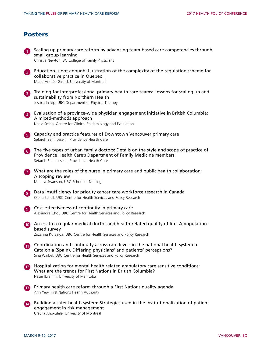#### Posters

|                         | Scaling up primary care reform by advancing team-based care competencies through<br>small group learning<br>Christie Newton, BC College of Family Physicians                                                              |
|-------------------------|---------------------------------------------------------------------------------------------------------------------------------------------------------------------------------------------------------------------------|
| $\left[ 2 \right]$      | Education is not enough: Illustration of the complexity of the regulation scheme for<br>collaborative practice in Quebec<br>Marie-Andrée Girard, University of Montreal                                                   |
| $\left  3 \right $      | Training for interprofessional primary health care teams: Lessons for scaling up and<br>sustainability from Northern Health<br>Jessica Inskip, UBC Department of Physical Therapy                                         |
| $\left  \bm{A} \right $ | Evaluation of a province-wide physician engagement initiative in British Columbia:<br>A mixed-methods approach<br>Neale Smith, Centre for Clinical Epidemiology and Evaluation                                            |
| $\vert 5 \vert$         | Capacity and practice features of Downtown Vancouver primary care<br>Setareh Banihosseini, Providence Health Care                                                                                                         |
| 6)                      | The five types of urban family doctors: Details on the style and scope of practice of<br>Providence Health Care's Department of Family Medicine members<br>Setareh Banihosseini, Providence Health Care                   |
| 7                       | What are the roles of the nurse in primary care and public health collaboration:<br>A scoping review<br>Monica Swanson, UBC School of Nursing                                                                             |
| 8 <sup>2</sup>          | Data insufficiency for priority cancer care workforce research in Canada<br>Olena Schell, UBC Centre for Health Services and Policy Research                                                                              |
| $\overline{9}$          | Cost-effectiveness of continuity in primary care<br>Alexandra Choi, UBC Centre for Health Services and Policy Research                                                                                                    |
| (10)                    | Access to a regular medical doctor and health-related quality of life: A population-<br>based survey<br>Zuzanna Kurzawa, UBC Centre for Health Services and Policy Research                                               |
| 60                      | Coordination and continuity across care levels in the national health system of<br>Catalonia (Spain). Differing physicians' and patients' perceptions?<br>Sina Waibel, UBC Centre for Health Services and Policy Research |
| $\boxed{12}$            | Hospitalization for mental health related ambulatory care sensitive conditions:<br>What are the trends for First Nations in British Columbia?<br>Naser Ibrahim, University of Manitoba                                    |
| <b>13</b>               | Primary health care reform through a First Nations quality agenda<br>Ann Yew, First Nations Health Authority                                                                                                              |
| $\vert 14 \rangle$      | Building a safer health system: Strategies used in the institutionalization of patient<br>engagement in risk management<br>Ursulla Aho-Glele, University of Montreal                                                      |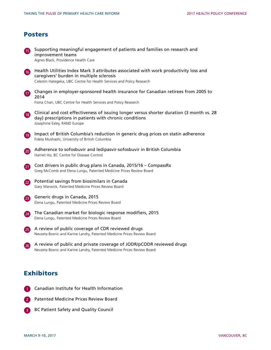#### Posters

| <b>15</b>          | Supporting meaningful engagement of patients and families on research and<br>improvement teams<br>Agnes Black, Providence Health Care                                                                    |
|--------------------|----------------------------------------------------------------------------------------------------------------------------------------------------------------------------------------------------------|
| 16                 | Health Utilities Index Mark 3 attributes associated with work productivity loss and<br>caregivers' burden in multiple sclerosis<br>Celestin Hategeka, UBC Centre for Health Services and Policy Research |
| 17                 | Changes in employer-sponsored health insurance for Canadian retirees from 2005 to<br>2014<br>Fiona Chan, UBC Centre for Health Services and Policy Research                                              |
| $\left(18\right)$  | Clinical and cost effectiveness of issuing longer versus shorter duration (3 month vs. 28<br>day) prescriptions in patients with chronic conditions<br>Josephine Exley, RAND Europe                      |
| $\left( 19\right)$ | Impact of British Columbia's reduction in generic drug prices on statin adherence<br>Fidela Mushashi, University of British Columbia                                                                     |
| $\overline{20}$    | Adherence to sofosbuvir and ledipasvir-sofosbuvir in British Columbia<br>Harriet Ho, BC Centre for Disease Control                                                                                       |
| 21                 | Cost drivers in public drug plans in Canada, 2015/16 - CompassRx<br>Greg McComb and Elena Lungu, Patented Medicine Prices Review Board                                                                   |
| (22)               | Potential savings from biosimilars in Canada<br>Gary Warwick, Patented Medicine Prices Review Board                                                                                                      |
| $\left( 23\right)$ | Generic drugs in Canada, 2015<br>Elena Lungu, Patented Medicine Prices Review Board                                                                                                                      |
| 24                 | The Canadian market for biologic response modifiers, 2015<br>Elena Lungu, Patented Medicine Prices Review Board                                                                                          |
| 25                 | A review of public coverage of CDR reviewed drugs<br>Nevzeta Bosnic and Karine Landry, Patented Medicine Prices Review Board                                                                             |
| 26                 | A review of public and private coverage of JODR/pCODR reviewed drugs<br>Nevzeta Bosnic and Karine Landry, Patented Medicine Prices Review Board                                                          |
|                    |                                                                                                                                                                                                          |

#### **Exhibitors**

- Canadian Institute for Health Information 1
- 2 Patented Medicine Prices Review Board
- **BC Patient Safety and Quality Council**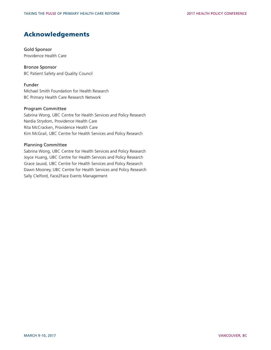#### Acknowledgements

#### Gold Sponsor

Providence Health Care

#### Bronze Sponsor

BC Patient Safety and Quality Council

#### Funder

Michael Smith Foundation for Health Research BC Primary Health Care Research Network

#### Program Committee

Sabrina Wong, UBC Centre for Health Services and Policy Research Nardia Strydom, Providence Health Care Rita McCracken, Providence Health Care Kim McGrail, UBC Centre for Health Services and Policy Research

#### Planning Committee

Sabrina Wong, UBC Centre for Health Services and Policy Research Joyce Huang, UBC Centre for Health Services and Policy Research Grace Jauod, UBC Centre for Health Services and Policy Research Dawn Mooney, UBC Centre for Health Services and Policy Research Sally Clelford, Face2Face Events Management